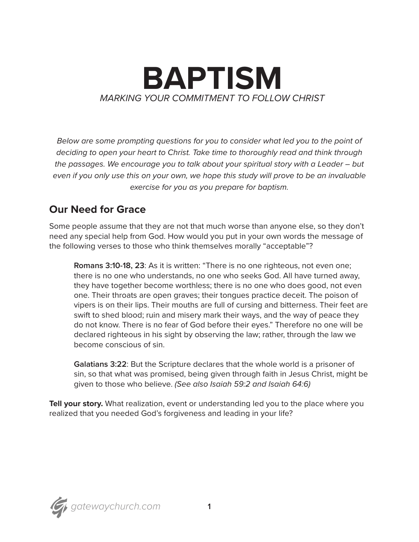

*Below are some prompting questions for you to consider what led you to the point of deciding to open your heart to Christ. Take time to thoroughly read and think through the passages. We encourage you to talk about your spiritual story with a Leader – but even if you only use this on your own, we hope this study will prove to be an invaluable exercise for you as you prepare for baptism.* 

## **Our Need for Grace**

Some people assume that they are not that much worse than anyone else, so they don't need any special help from God. How would you put in your own words the message of the following verses to those who think themselves morally "acceptable"?

**Romans 3:10-18, 23**: As it is written: "There is no one righteous, not even one; there is no one who understands, no one who seeks God. All have turned away, they have together become worthless; there is no one who does good, not even one. Their throats are open graves; their tongues practice deceit. The poison of vipers is on their lips. Their mouths are full of cursing and bitterness. Their feet are swift to shed blood; ruin and misery mark their ways, and the way of peace they do not know. There is no fear of God before their eyes." Therefore no one will be declared righteous in his sight by observing the law; rather, through the law we become conscious of sin.

**Galatians 3:22**: But the Scripture declares that the whole world is a prisoner of sin, so that what was promised, being given through faith in Jesus Christ, might be given to those who believe. *(See also Isaiah 59:2 and Isaiah 64:6)*

**Tell your story.** What realization, event or understanding led you to the place where you realized that you needed God's forgiveness and leading in your life?

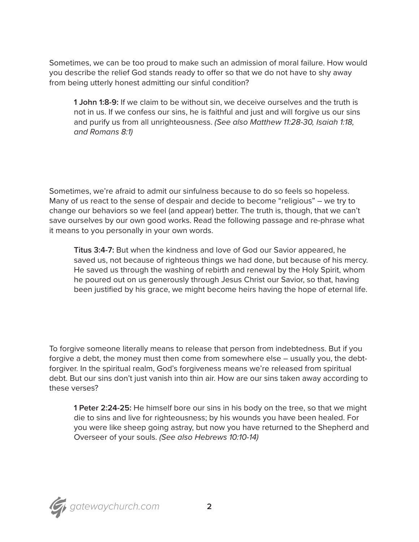Sometimes, we can be too proud to make such an admission of moral failure. How would you describe the relief God stands ready to offer so that we do not have to shy away from being utterly honest admitting our sinful condition?

**1 John 1:8-9:** If we claim to be without sin, we deceive ourselves and the truth is not in us. If we confess our sins, he is faithful and just and will forgive us our sins and purify us from all unrighteousness. *(See also Matthew 11:28-30, Isaiah 1:18, and Romans 8:1)*

Sometimes, we're afraid to admit our sinfulness because to do so feels so hopeless. Many of us react to the sense of despair and decide to become "religious" – we try to change our behaviors so we feel (and appear) better. The truth is, though, that we can't save ourselves by our own good works. Read the following passage and re-phrase what it means to you personally in your own words.

**Titus 3:4-7:** But when the kindness and love of God our Savior appeared, he saved us, not because of righteous things we had done, but because of his mercy. He saved us through the washing of rebirth and renewal by the Holy Spirit, whom he poured out on us generously through Jesus Christ our Savior, so that, having been justified by his grace, we might become heirs having the hope of eternal life.

To forgive someone literally means to release that person from indebtedness. But if you forgive a debt, the money must then come from somewhere else – usually you, the debtforgiver. In the spiritual realm, God's forgiveness means we're released from spiritual debt. But our sins don't just vanish into thin air. How are our sins taken away according to these verses?

**1 Peter 2:24-25:** He himself bore our sins in his body on the tree, so that we might die to sins and live for righteousness; by his wounds you have been healed. For you were like sheep going astray, but now you have returned to the Shepherd and Overseer of your souls. *(See also Hebrews 10:10-14)*

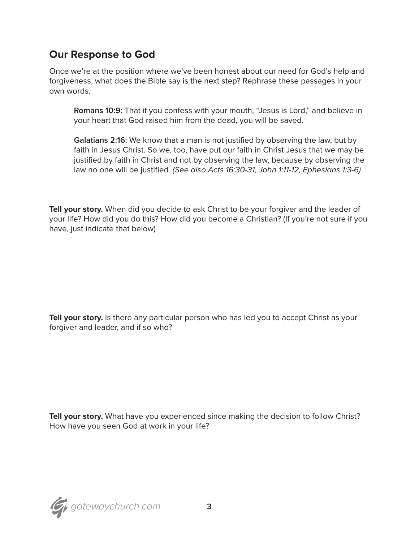## **Our Response to God**

Once we're at the position where we've been honest about our need for God's help and forgiveness, what does the Bible say is the next step? Rephrase these passages in your own words.

**Romans 10:9:** That if you confess with your mouth, "Jesus is Lord," and believe in your heart that God raised him from the dead, you will be saved.

**Galatians 2:16:** We know that a man is not justified by observing the law, but by faith in Jesus Christ. So we, too, have put our faith in Christ Jesus that we may be justified by faith in Christ and not by observing the law, because by observing the law no one will be justified. *(See also Acts 16:30-31, John 1:11-12, Ephesians 1:3-6)*

**Tell your story.** When did you decide to ask Christ to be your forgiver and the leader of your life? How did you do this? How did you become a Christian? (If you're not sure if you have, just indicate that below)

**Tell your story.** Is there any particular person who has led you to accept Christ as your forgiver and leader, and if so who?

Tell your story. What have you experienced since making the decision to follow Christ? How have you seen God at work in your life?

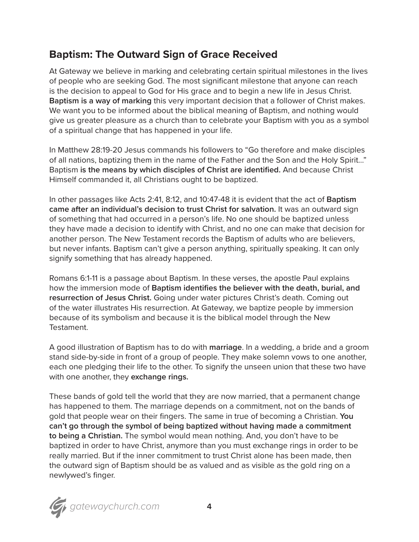## **Baptism: The Outward Sign of Grace Received**

At Gateway we believe in marking and celebrating certain spiritual milestones in the lives of people who are seeking God. The most significant milestone that anyone can reach is the decision to appeal to God for His grace and to begin a new life in Jesus Christ. **Baptism is a way of marking** this very important decision that a follower of Christ makes. We want you to be informed about the biblical meaning of Baptism, and nothing would give us greater pleasure as a church than to celebrate your Baptism with you as a symbol of a spiritual change that has happened in your life.

In Matthew 28:19-20 Jesus commands his followers to "Go therefore and make disciples of all nations, baptizing them in the name of the Father and the Son and the Holy Spirit…" Baptism **is the means by which disciples of Christ are identified.** And because Christ Himself commanded it, all Christians ought to be baptized.

In other passages like Acts 2:41, 8:12, and 10:47-48 it is evident that the act of **Baptism came after an individual's decision to trust Christ for salvation.** It was an outward sign of something that had occurred in a person's life. No one should be baptized unless they have made a decision to identify with Christ, and no one can make that decision for another person. The New Testament records the Baptism of adults who are believers, but never infants. Baptism can't give a person anything, spiritually speaking. It can only signify something that has already happened.

Romans 6:1-11 is a passage about Baptism. In these verses, the apostle Paul explains how the immersion mode of **Baptism identifies the believer with the death, burial, and resurrection of Jesus Christ.** Going under water pictures Christ's death. Coming out of the water illustrates His resurrection. At Gateway, we baptize people by immersion because of its symbolism and because it is the biblical model through the New Testament.

A good illustration of Baptism has to do with **marriage**. In a wedding, a bride and a groom stand side-by-side in front of a group of people. They make solemn vows to one another, each one pledging their life to the other. To signify the unseen union that these two have with one another, they **exchange rings.**

These bands of gold tell the world that they are now married, that a permanent change has happened to them. The marriage depends on a commitment, not on the bands of gold that people wear on their fingers. The same in true of becoming a Christian. **You can't go through the symbol of being baptized without having made a commitment to being a Christian.** The symbol would mean nothing. And, you don't have to be baptized in order to have Christ, anymore than you must exchange rings in order to be really married. But if the inner commitment to trust Christ alone has been made, then the outward sign of Baptism should be as valued and as visible as the gold ring on a newlywed's finger.